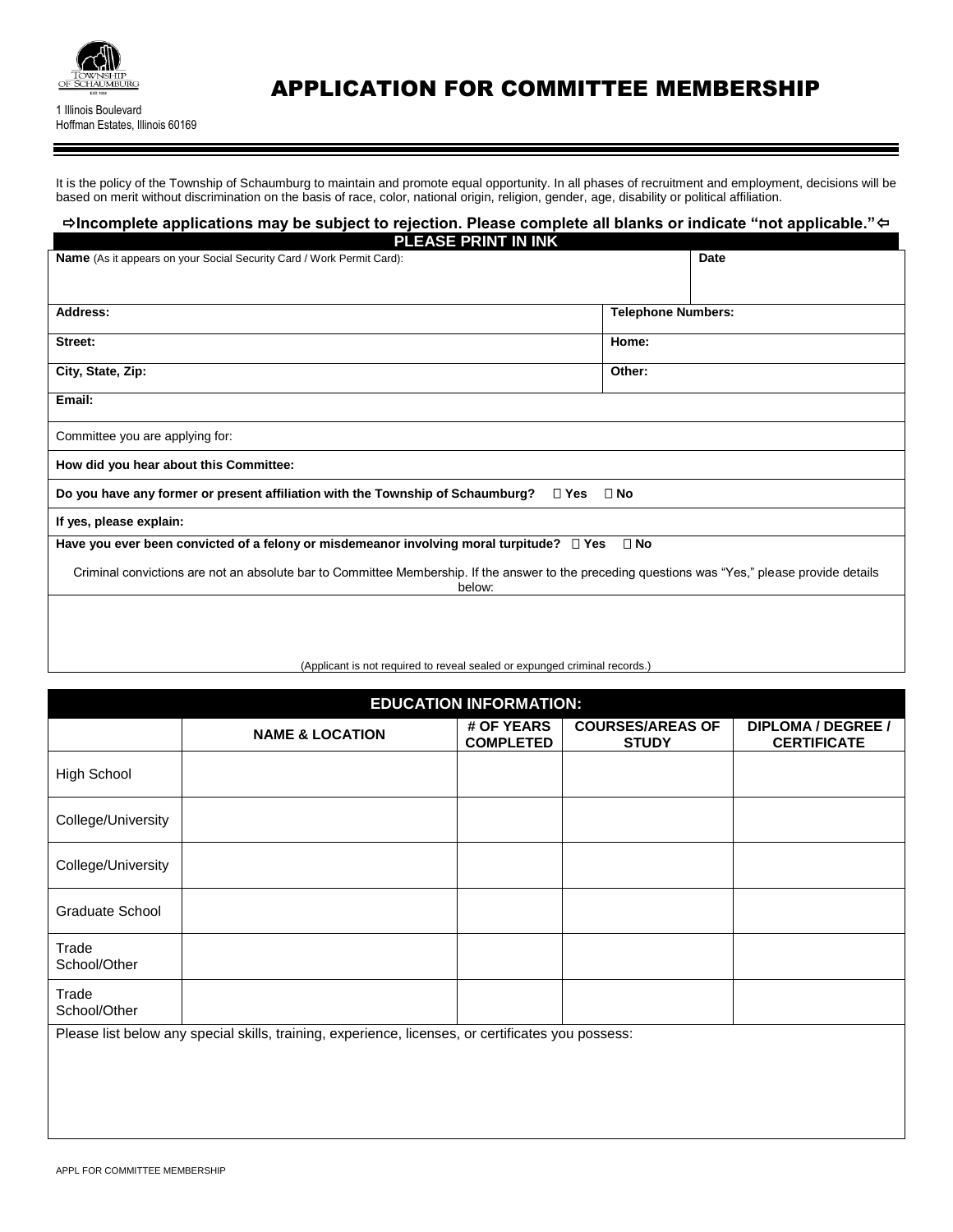

# APPLICATION FOR COMMITTEE MEMBERSHIP

It is the policy of the Township of Schaumburg to maintain and promote equal opportunity. In all phases of recruitment and employment, decisions will be based on merit without discrimination on the basis of race, color, national origin, religion, gender, age, disability or political affiliation.

## $\Rightarrow$ Incomplete applications may be subject to rejection. Please complete all blanks or indicate "not applicable."⇔

| <b>PLEASE PRINT IN INK</b>                                                                                                                                 |                           |  |  |  |  |
|------------------------------------------------------------------------------------------------------------------------------------------------------------|---------------------------|--|--|--|--|
| <b>Name</b> (As it appears on your Social Security Card / Work Permit Card):                                                                               | Date                      |  |  |  |  |
|                                                                                                                                                            |                           |  |  |  |  |
|                                                                                                                                                            |                           |  |  |  |  |
| Address:                                                                                                                                                   | <b>Telephone Numbers:</b> |  |  |  |  |
| Street:                                                                                                                                                    | Home:                     |  |  |  |  |
|                                                                                                                                                            |                           |  |  |  |  |
| City, State, Zip:                                                                                                                                          | Other:                    |  |  |  |  |
| Email:                                                                                                                                                     |                           |  |  |  |  |
|                                                                                                                                                            |                           |  |  |  |  |
| Committee you are applying for:                                                                                                                            |                           |  |  |  |  |
| How did you hear about this Committee:                                                                                                                     |                           |  |  |  |  |
| Do you have any former or present affiliation with the Township of Schaumburg?<br>□ Yes                                                                    | $\square$ No              |  |  |  |  |
| If yes, please explain:                                                                                                                                    |                           |  |  |  |  |
| Have you ever been convicted of a felony or misdemeanor involving moral turpitude? $\square$ Yes<br>$\square$ No                                           |                           |  |  |  |  |
| Criminal convictions are not an absolute bar to Committee Membership. If the answer to the preceding questions was "Yes," please provide details<br>below: |                           |  |  |  |  |
|                                                                                                                                                            |                           |  |  |  |  |
|                                                                                                                                                            |                           |  |  |  |  |

#### (Applicant is not required to reveal sealed or expunged criminal records.)

| <b>EDUCATION INFORMATION:</b> |                                |                                         |                                                                                                    |  |  |  |  |
|-------------------------------|--------------------------------|-----------------------------------------|----------------------------------------------------------------------------------------------------|--|--|--|--|
| <b>NAME &amp; LOCATION</b>    | # OF YEARS<br><b>COMPLETED</b> | <b>COURSES/AREAS OF</b><br><b>STUDY</b> | <b>DIPLOMA / DEGREE /</b><br><b>CERTIFICATE</b>                                                    |  |  |  |  |
|                               |                                |                                         |                                                                                                    |  |  |  |  |
|                               |                                |                                         |                                                                                                    |  |  |  |  |
|                               |                                |                                         |                                                                                                    |  |  |  |  |
|                               |                                |                                         |                                                                                                    |  |  |  |  |
|                               |                                |                                         |                                                                                                    |  |  |  |  |
|                               |                                |                                         |                                                                                                    |  |  |  |  |
|                               |                                |                                         |                                                                                                    |  |  |  |  |
|                               |                                |                                         |                                                                                                    |  |  |  |  |
|                               |                                |                                         |                                                                                                    |  |  |  |  |
|                               |                                |                                         | Please list below any special skills, training, experience, licenses, or certificates you possess: |  |  |  |  |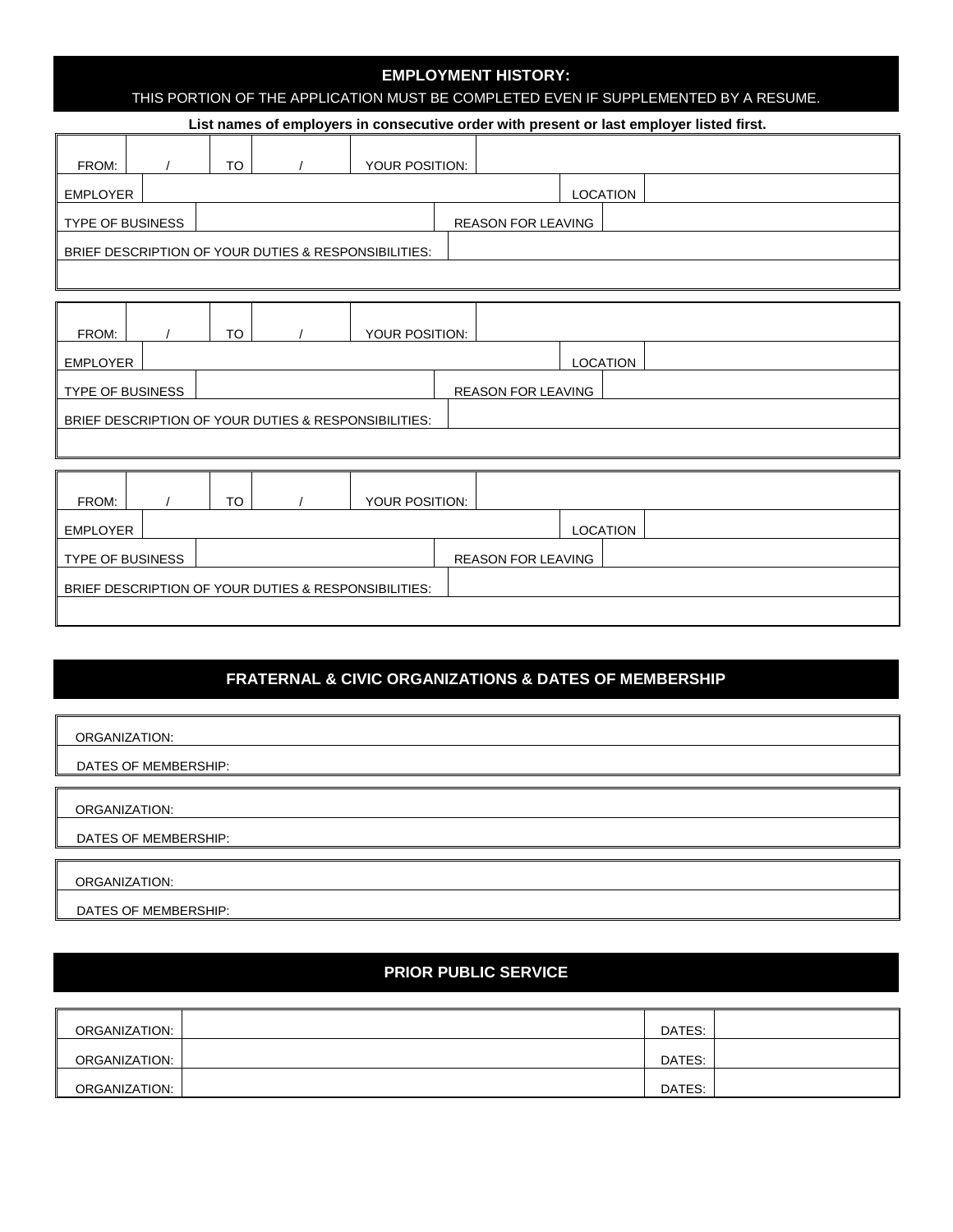### **EMPLOYMENT HISTORY:**

THIS PORTION OF THE APPLICATION MUST BE COMPLETED EVEN IF SUPPLEMENTED BY A RESUME.

|                                                      | List names of employers in consecutive order with present or last employer listed first. |    |  |                |  |                           |  |          |  |
|------------------------------------------------------|------------------------------------------------------------------------------------------|----|--|----------------|--|---------------------------|--|----------|--|
| FROM:                                                |                                                                                          | TO |  | YOUR POSITION: |  |                           |  |          |  |
| EMPLOYER                                             |                                                                                          |    |  |                |  |                           |  | LOCATION |  |
| <b>TYPE OF BUSINESS</b>                              |                                                                                          |    |  |                |  | <b>REASON FOR LEAVING</b> |  |          |  |
| BRIEF DESCRIPTION OF YOUR DUTIES & RESPONSIBILITIES: |                                                                                          |    |  |                |  |                           |  |          |  |
|                                                      |                                                                                          |    |  |                |  |                           |  |          |  |

| FROM:                                                |  | TO |                           | YOUR POSITION: |  |                 |  |  |
|------------------------------------------------------|--|----|---------------------------|----------------|--|-----------------|--|--|
| EMPLOYER                                             |  |    |                           |                |  | <b>LOCATION</b> |  |  |
| <b>TYPE OF BUSINESS</b>                              |  |    | <b>REASON FOR LEAVING</b> |                |  |                 |  |  |
| BRIEF DESCRIPTION OF YOUR DUTIES & RESPONSIBILITIES: |  |    |                           |                |  |                 |  |  |
|                                                      |  |    |                           |                |  |                 |  |  |

| FROM:                   |                                                      | TO |  | YOUR POSITION: |  |                           |          |  |  |  |
|-------------------------|------------------------------------------------------|----|--|----------------|--|---------------------------|----------|--|--|--|
| <b>EMPLOYER</b>         |                                                      |    |  |                |  |                           | LOCATION |  |  |  |
| <b>TYPE OF BUSINESS</b> |                                                      |    |  |                |  | <b>REASON FOR LEAVING</b> |          |  |  |  |
|                         | BRIEF DESCRIPTION OF YOUR DUTIES & RESPONSIBILITIES: |    |  |                |  |                           |          |  |  |  |
|                         |                                                      |    |  |                |  |                           |          |  |  |  |

## **FRATERNAL & CIVIC ORGANIZATIONS & DATES OF MEMBERSHIP**

| ORGANIZATION:        |
|----------------------|
| DATES OF MEMBERSHIP: |
|                      |
| ORGANIZATION:        |
| DATES OF MEMBERSHIP: |
| ORGANIZATION:        |
| DATES OF MEMBERSHIP: |

## **PRIOR PUBLIC SERVICE**

| ORGANIZATION: | DATES: |  |
|---------------|--------|--|
| ORGANIZATION: | DATES: |  |
| ORGANIZATION: | DATES: |  |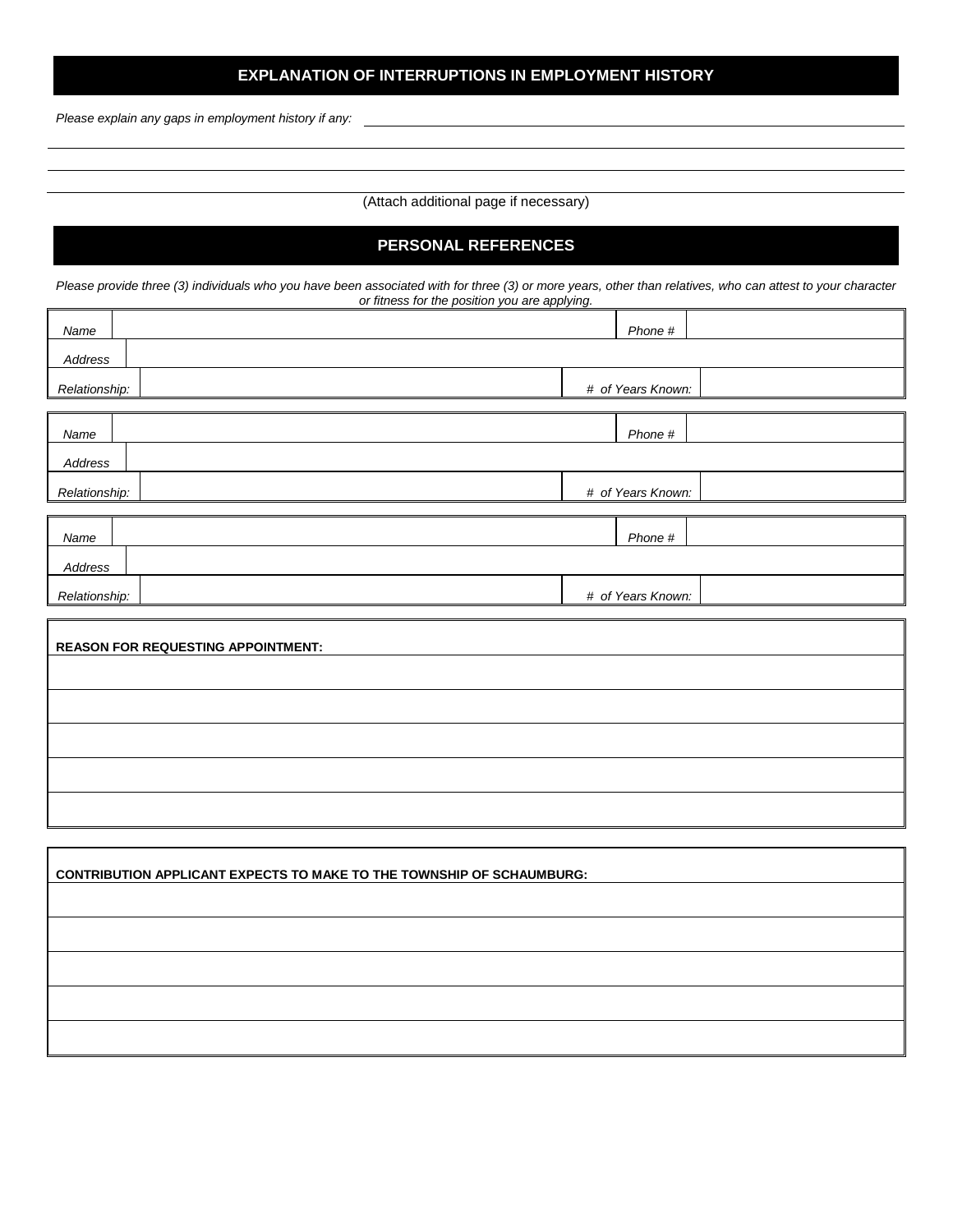## **EXPLANATION OF INTERRUPTIONS IN EMPLOYMENT HISTORY**

*Please explain any gaps in employment history if any:*

(Attach additional page if necessary)

## **PERSONAL REFERENCES**

*Please provide three (3) individuals who you have been associated with for three (3) or more years, other than relatives, who can attest to your character or fitness for the position you are applying.*

| Name          |  | Phone #           |  |
|---------------|--|-------------------|--|
|               |  |                   |  |
| Address       |  |                   |  |
| Relationship: |  | # of Years Known: |  |
|               |  |                   |  |
| Name          |  | Phone #           |  |
| Address       |  |                   |  |
| Relationship: |  | # of Years Known: |  |
|               |  |                   |  |
| Name          |  | Phone #           |  |
| Address       |  |                   |  |
| Relationship: |  | # of Years Known: |  |

| <b>REASON FOR REQUESTING APPOINTMENT:</b> |  |
|-------------------------------------------|--|
|                                           |  |
|                                           |  |
|                                           |  |
|                                           |  |
|                                           |  |

| <b>CONTRIBUTION APPLICANT EXPECTS TO MAKE TO THE TOWNSHIP OF SCHAUMBURG:</b> |  |  |  |  |  |
|------------------------------------------------------------------------------|--|--|--|--|--|
|                                                                              |  |  |  |  |  |
|                                                                              |  |  |  |  |  |
|                                                                              |  |  |  |  |  |
|                                                                              |  |  |  |  |  |
|                                                                              |  |  |  |  |  |